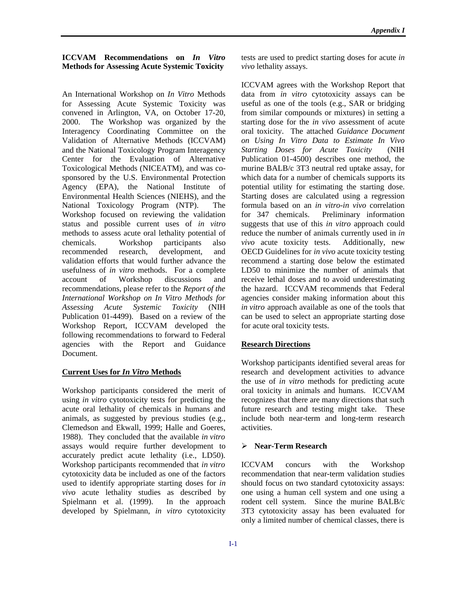## **ICCVAM Recommendations on** *In Vitro* tests are used to predict starting doses for acute *in*  **Methods for Assessing Acute Systemic Toxicity** *vivo* lethality assays.

An International Workshop on *In Vitro* Methods for Assessing Acute Systemic Toxicity was convened in Arlington, VA, on October 17-20, 2000. The Workshop was organized by the Interagency Coordinating Committee on the Validation of Alternative Methods (ICCVAM) and the National Toxicology Program Interagency Center for the Evaluation of Alternative Toxicological Methods (NICEATM), and was cosponsored by the U.S. Environmental Protection Agency (EPA), the National Institute of Environmental Health Sciences (NIEHS), and the National Toxicology Program (NTP). The Workshop focused on reviewing the validation status and possible current uses of *in vitro*  methods to assess acute oral lethality potential of chemicals. Workshop participants also recommended research, development, and validation efforts that would further advance the usefulness of *in vitro* methods. For a complete account of Workshop discussions and recommendations, please refer to the *Report of the International Workshop on In Vitro Methods for Assessing Acute Systemic Toxicity* (NIH Publication 01-4499). Based on a review of the Workshop Report, ICCVAM developed the following recommendations to forward to Federal agencies with the Report and Guidance Document.

#### **Current Uses for** *In Vitro* **Methods**

Workshop participants considered the merit of using *in vitro* cytotoxicity tests for predicting the acute oral lethality of chemicals in humans and animals, as suggested by previous studies (e.g., Clemedson and Ekwall, 1999; Halle and Goeres, 1988). They concluded that the available *in vitro*  assays would require further development to accurately predict acute lethality (i.e., LD50). Workshop participants recommended that *in vitro*  cytotoxicity data be included as one of the factors used to identify appropriate starting doses for *in vivo* acute lethality studies as described by Spielmann et al. (1999). In the approach developed by Spielmann, *in vitro* cytotoxicity

ICCVAM agrees with the Workshop Report that data from *in vitro* cytotoxicity assays can be useful as one of the tools (e.g., SAR or bridging from similar compounds or mixtures) in setting a starting dose for the *in vivo* assessment of acute oral toxicity. The attached *Guidance Document on Using In Vitro Data to Estimate In Vivo Starting Doses for Acute Toxicity* (NIH Publication 01-4500) describes one method, the murine BALB/c 3T3 neutral red uptake assay, for which data for a number of chemicals supports its potential utility for estimating the starting dose. Starting doses are calculated using a regression formula based on an *in vitro-in vivo* correlation for 347 chemicals. Preliminary information suggests that use of this *in vitro* approach could reduce the number of animals currently used in *in vivo* acute toxicity tests. Additionally, new OECD Guidelines for *in vivo* acute toxicity testing recommend a starting dose below the estimated LD50 to minimize the number of animals that receive lethal doses and to avoid underestimating the hazard. ICCVAM recommends that Federal agencies consider making information about this *in vitro* approach available as one of the tools that can be used to select an appropriate starting dose for acute oral toxicity tests.

### **Research Directions**

Workshop participants identified several areas for research and development activities to advance the use of *in vitro* methods for predicting acute oral toxicity in animals and humans. ICCVAM recognizes that there are many directions that such future research and testing might take. These include both near-term and long-term research activities.

# � **Near-Term Research**

ICCVAM concurs with the Workshop recommendation that near-term validation studies should focus on two standard cytotoxicity assays: one using a human cell system and one using a rodent cell system. Since the murine BALB/c 3T3 cytotoxicity assay has been evaluated for only a limited number of chemical classes, there is